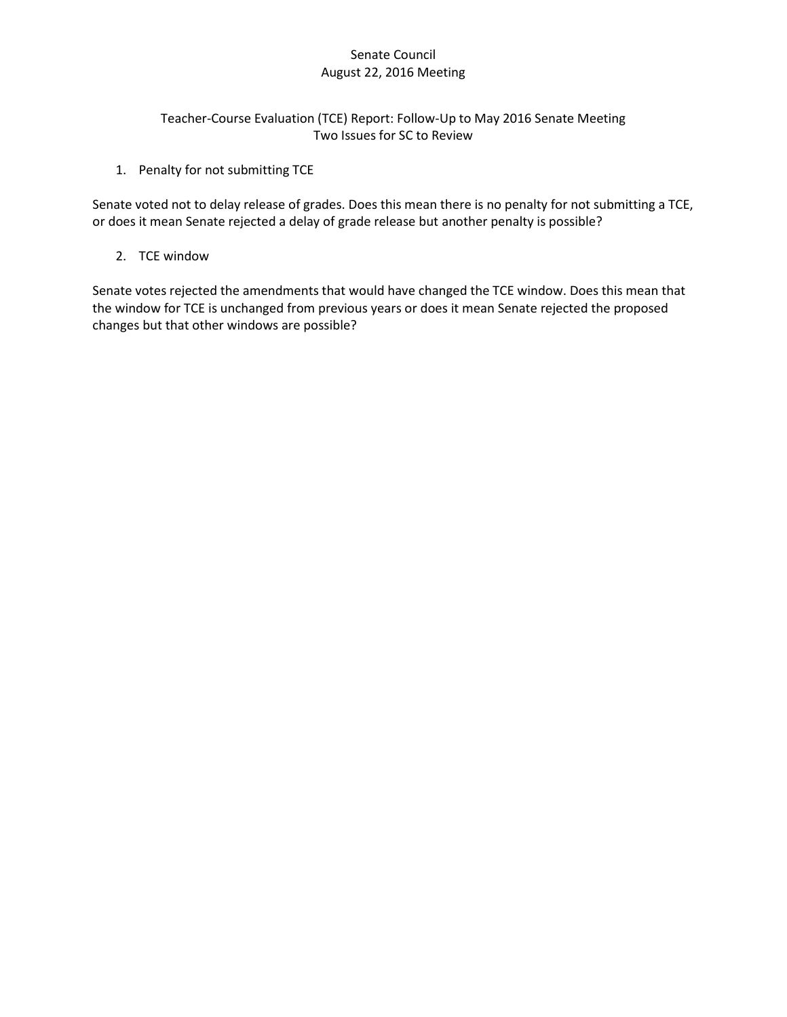# Senate Council August 22, 2016 Meeting

# Teacher-Course Evaluation (TCE) Report: Follow-Up to May 2016 Senate Meeting Two Issues for SC to Review

1. Penalty for not submitting TCE

Senate voted not to delay release of grades. Does this mean there is no penalty for not submitting a TCE, or does it mean Senate rejected a delay of grade release but another penalty is possible?

2. TCE window

Senate votes rejected the amendments that would have changed the TCE window. Does this mean that the window for TCE is unchanged from previous years or does it mean Senate rejected the proposed changes but that other windows are possible?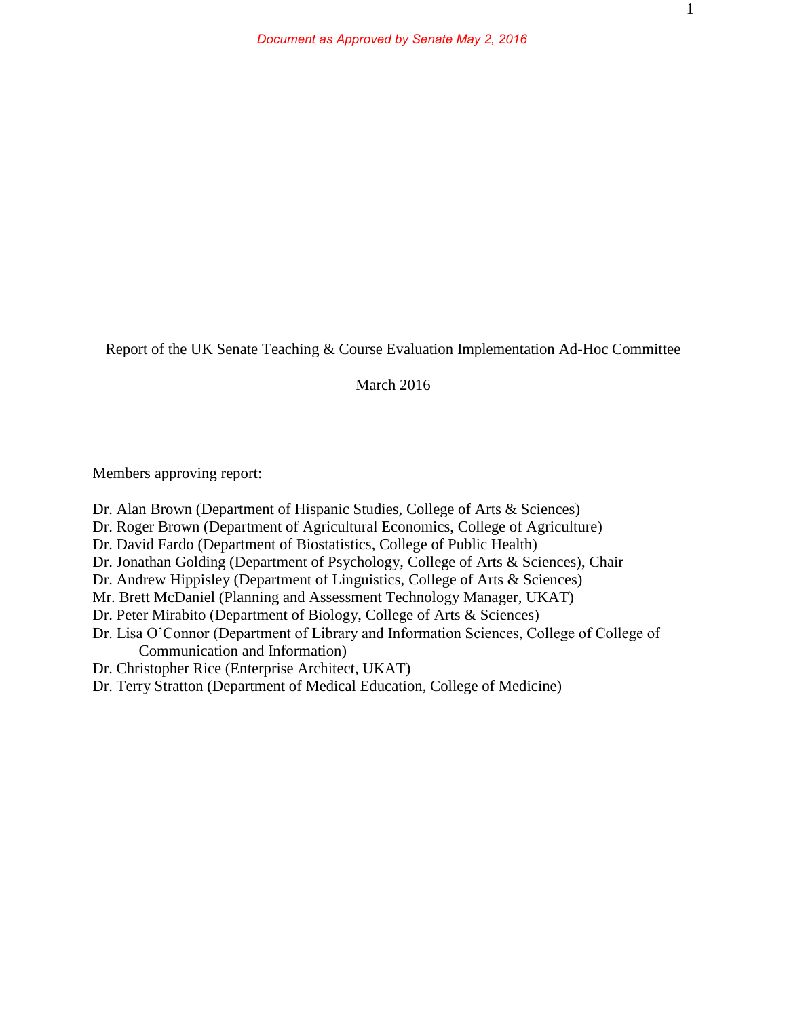Report of the UK Senate Teaching & Course Evaluation Implementation Ad-Hoc Committee

March 2016

Members approving report:

- Dr. Alan Brown (Department of Hispanic Studies, College of Arts & Sciences)
- Dr. Roger Brown (Department of Agricultural Economics, College of Agriculture)
- Dr. David Fardo (Department of Biostatistics, College of Public Health)
- Dr. Jonathan Golding (Department of Psychology, College of Arts & Sciences), Chair
- Dr. Andrew Hippisley (Department of Linguistics, College of Arts & Sciences)
- Mr. Brett McDaniel (Planning and Assessment Technology Manager, UKAT)
- Dr. Peter Mirabito (Department of Biology, College of Arts & Sciences)
- Dr. Lisa O'Connor (Department of Library and Information Sciences, College of College of Communication and Information)
- Dr. Christopher Rice (Enterprise Architect, UKAT)
- Dr. Terry Stratton (Department of Medical Education, College of Medicine)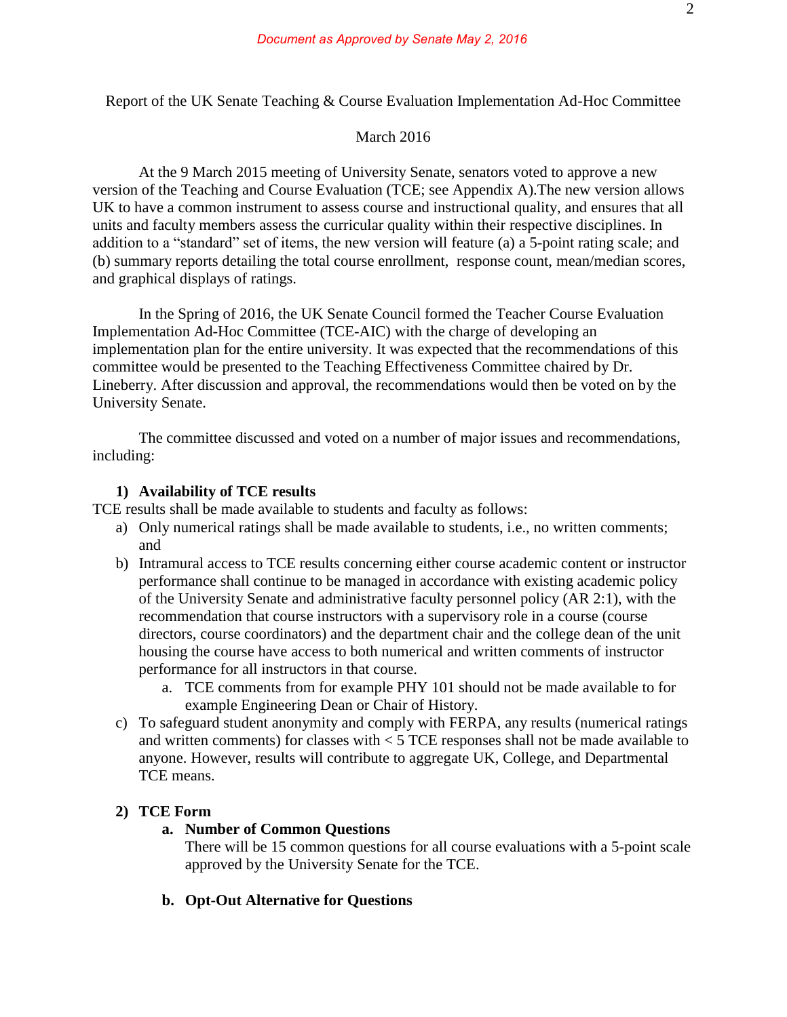Report of the UK Senate Teaching & Course Evaluation Implementation Ad-Hoc Committee

#### March 2016

At the 9 March 2015 meeting of University Senate, senators voted to approve a new version of the Teaching and Course Evaluation (TCE; see Appendix A).The new version allows UK to have a common instrument to assess course and instructional quality, and ensures that all units and faculty members assess the curricular quality within their respective disciplines. In addition to a "standard" set of items, the new version will feature (a) a 5-point rating scale; and (b) summary reports detailing the total course enrollment, response count, mean/median scores, and graphical displays of ratings.

In the Spring of 2016, the UK Senate Council formed the Teacher Course Evaluation Implementation Ad-Hoc Committee (TCE-AIC) with the charge of developing an implementation plan for the entire university. It was expected that the recommendations of this committee would be presented to the Teaching Effectiveness Committee chaired by Dr. Lineberry. After discussion and approval, the recommendations would then be voted on by the University Senate.

 The committee discussed and voted on a number of major issues and recommendations, including:

### **1) Availability of TCE results**

TCE results shall be made available to students and faculty as follows:

- a) Only numerical ratings shall be made available to students, i.e., no written comments; and
- b) Intramural access to TCE results concerning either course academic content or instructor performance shall continue to be managed in accordance with existing academic policy of the University Senate and administrative faculty personnel policy (AR 2:1), with the recommendation that course instructors with a supervisory role in a course (course directors, course coordinators) and the department chair and the college dean of the unit housing the course have access to both numerical and written comments of instructor performance for all instructors in that course.
	- a. TCE comments from for example PHY 101 should not be made available to for example Engineering Dean or Chair of History.
- c) To safeguard student anonymity and comply with FERPA, any results (numerical ratings and written comments) for classes with < 5 TCE responses shall not be made available to anyone. However, results will contribute to aggregate UK, College, and Departmental TCE means.

### **2) TCE Form**

### **a. Number of Common Questions**

There will be 15 common questions for all course evaluations with a 5-point scale approved by the University Senate for the TCE.

## **b. Opt-Out Alternative for Questions**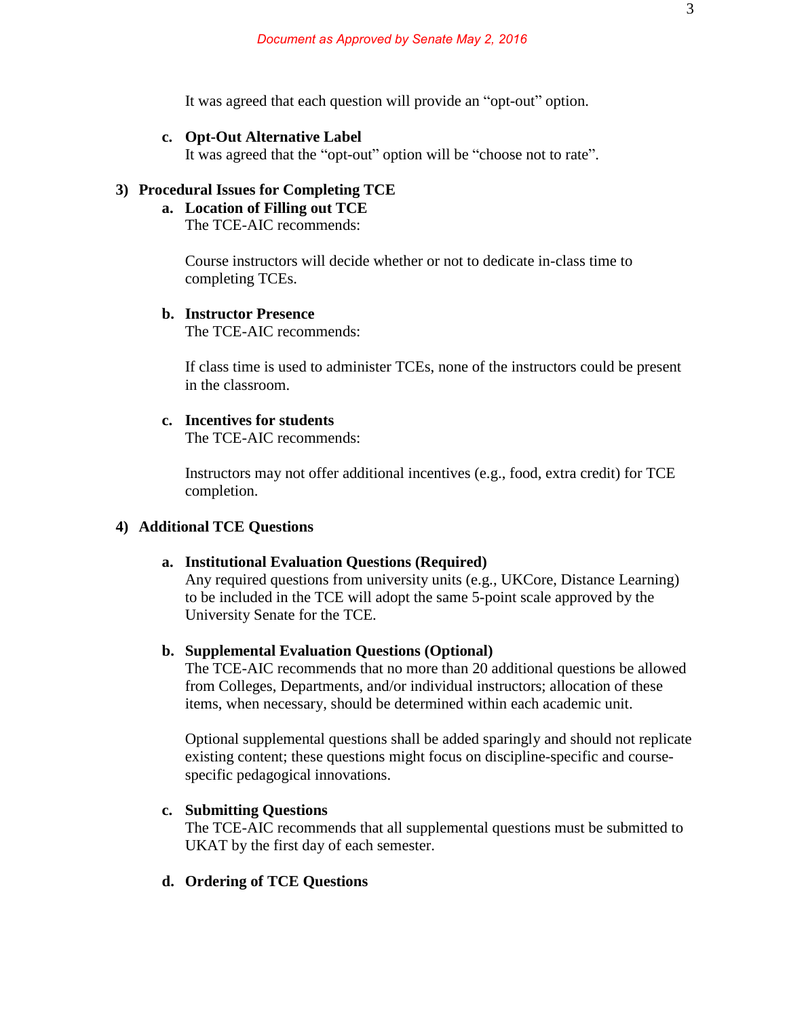It was agreed that each question will provide an "opt-out" option.

#### **c. Opt-Out Alternative Label**

It was agreed that the "opt-out" option will be "choose not to rate".

# **3) Procedural Issues for Completing TCE**

# **a. Location of Filling out TCE**

The TCE-AIC recommends:

Course instructors will decide whether or not to dedicate in-class time to completing TCEs.

# **b. Instructor Presence**

The TCE-AIC recommends:

If class time is used to administer TCEs, none of the instructors could be present in the classroom.

# **c. Incentives for students**

The TCE-AIC recommends:

Instructors may not offer additional incentives (e.g., food, extra credit) for TCE completion.

# **4) Additional TCE Questions**

### **a. Institutional Evaluation Questions (Required)**

Any required questions from university units (e.g., UKCore, Distance Learning) to be included in the TCE will adopt the same 5-point scale approved by the University Senate for the TCE.

#### **b. Supplemental Evaluation Questions (Optional)**

The TCE-AIC recommends that no more than 20 additional questions be allowed from Colleges, Departments, and/or individual instructors; allocation of these items, when necessary, should be determined within each academic unit.

Optional supplemental questions shall be added sparingly and should not replicate existing content; these questions might focus on discipline-specific and coursespecific pedagogical innovations.

#### **c. Submitting Questions**

The TCE-AIC recommends that all supplemental questions must be submitted to UKAT by the first day of each semester.

### **d. Ordering of TCE Questions**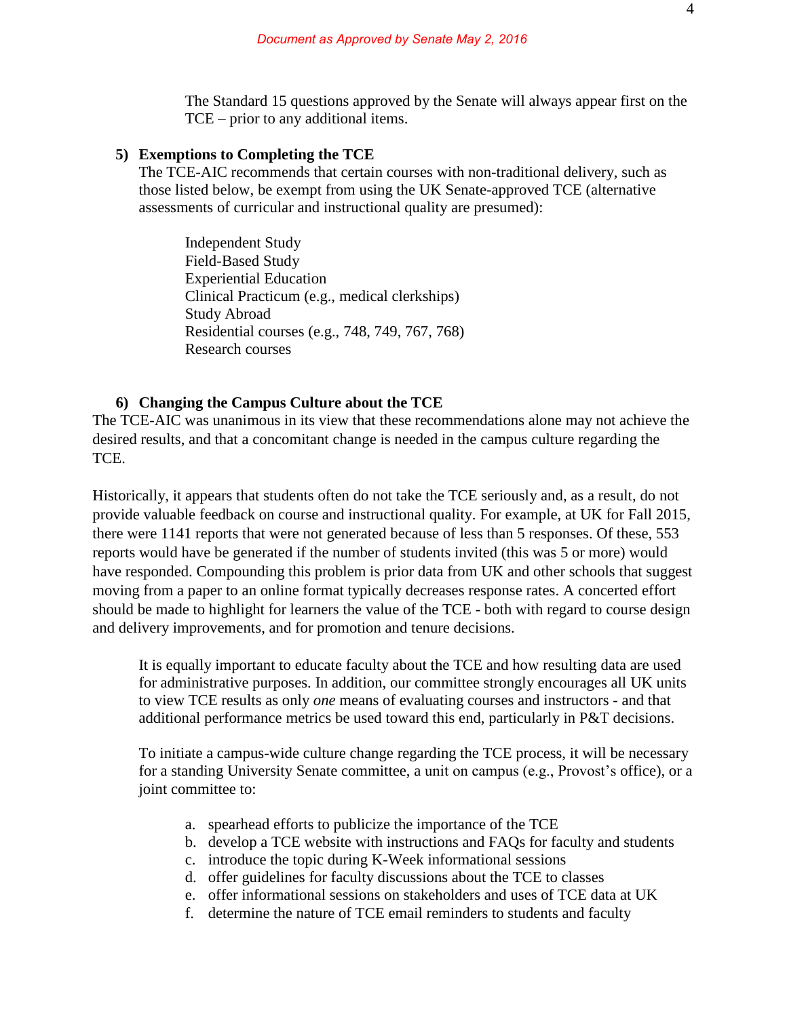The Standard 15 questions approved by the Senate will always appear first on the TCE – prior to any additional items.

### **5) Exemptions to Completing the TCE**

The TCE-AIC recommends that certain courses with non-traditional delivery, such as those listed below, be exempt from using the UK Senate-approved TCE (alternative assessments of curricular and instructional quality are presumed):

Independent Study Field-Based Study Experiential Education Clinical Practicum (e.g., medical clerkships) Study Abroad Residential courses (e.g., 748, 749, 767, 768) Research courses

#### **6) Changing the Campus Culture about the TCE**

The TCE-AIC was unanimous in its view that these recommendations alone may not achieve the desired results, and that a concomitant change is needed in the campus culture regarding the TCE.

Historically, it appears that students often do not take the TCE seriously and, as a result, do not provide valuable feedback on course and instructional quality. For example, at UK for Fall 2015, there were 1141 reports that were not generated because of less than 5 responses. Of these, 553 reports would have be generated if the number of students invited (this was 5 or more) would have responded. Compounding this problem is prior data from UK and other schools that suggest moving from a paper to an online format typically decreases response rates. A concerted effort should be made to highlight for learners the value of the TCE - both with regard to course design and delivery improvements, and for promotion and tenure decisions.

It is equally important to educate faculty about the TCE and how resulting data are used for administrative purposes. In addition, our committee strongly encourages all UK units to view TCE results as only *one* means of evaluating courses and instructors - and that additional performance metrics be used toward this end, particularly in P&T decisions.

To initiate a campus-wide culture change regarding the TCE process, it will be necessary for a standing University Senate committee, a unit on campus (e.g., Provost's office), or a joint committee to:

- a. spearhead efforts to publicize the importance of the TCE
- b. develop a TCE website with instructions and FAQs for faculty and students
- c. introduce the topic during K-Week informational sessions
- d. offer guidelines for faculty discussions about the TCE to classes
- e. offer informational sessions on stakeholders and uses of TCE data at UK
- f. determine the nature of TCE email reminders to students and faculty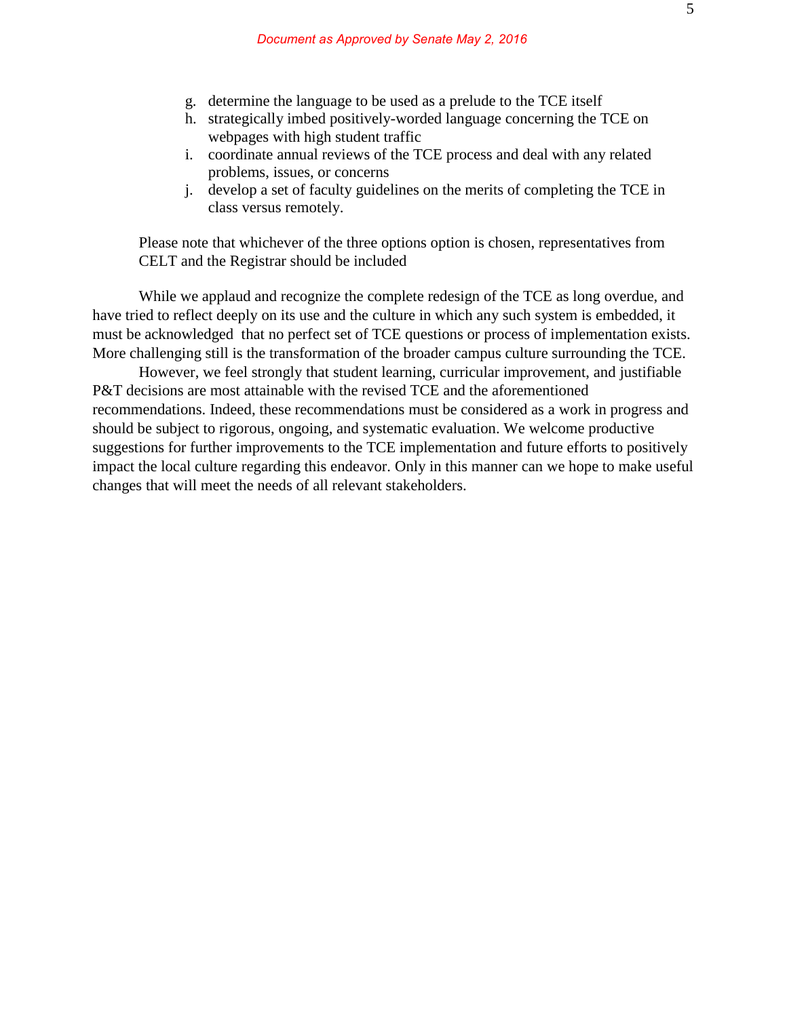- g. determine the language to be used as a prelude to the TCE itself
- h. strategically imbed positively-worded language concerning the TCE on webpages with high student traffic
- i. coordinate annual reviews of the TCE process and deal with any related problems, issues, or concerns
- j. develop a set of faculty guidelines on the merits of completing the TCE in class versus remotely.

Please note that whichever of the three options option is chosen, representatives from CELT and the Registrar should be included

While we applaud and recognize the complete redesign of the TCE as long overdue, and have tried to reflect deeply on its use and the culture in which any such system is embedded, it must be acknowledged that no perfect set of TCE questions or process of implementation exists. More challenging still is the transformation of the broader campus culture surrounding the TCE.

However, we feel strongly that student learning, curricular improvement, and justifiable P&T decisions are most attainable with the revised TCE and the aforementioned recommendations. Indeed, these recommendations must be considered as a work in progress and should be subject to rigorous, ongoing, and systematic evaluation. We welcome productive suggestions for further improvements to the TCE implementation and future efforts to positively impact the local culture regarding this endeavor. Only in this manner can we hope to make useful changes that will meet the needs of all relevant stakeholders.